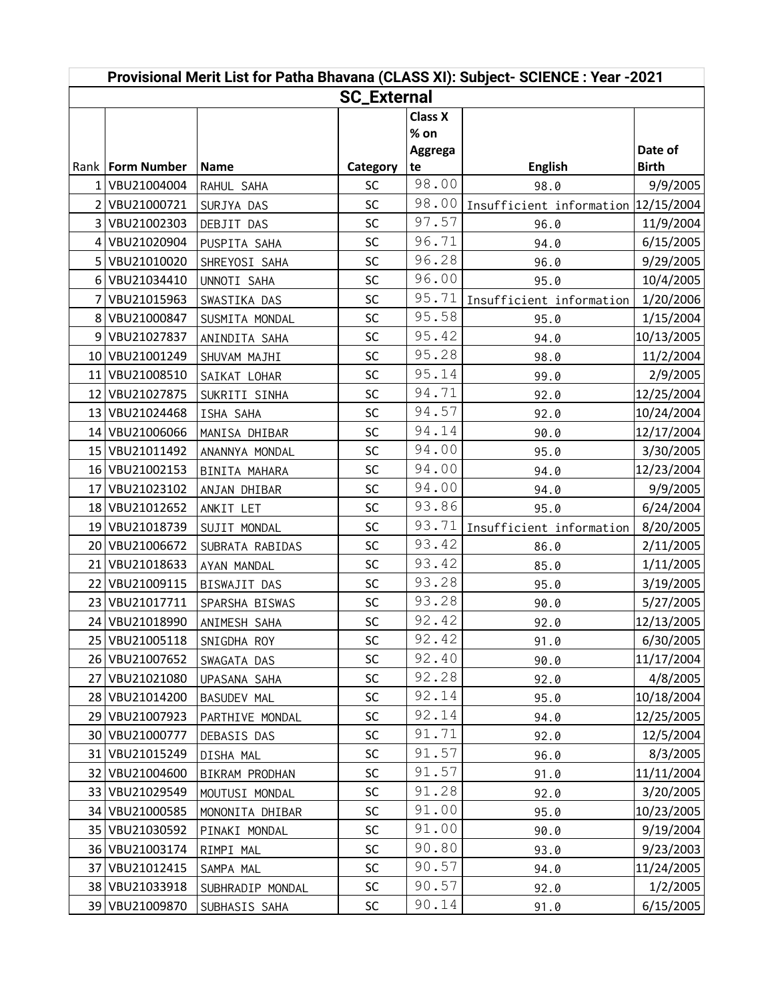| Provisional Merit List for Patha Bhavana (CLASS XI): Subject- SCIENCE : Year -2021 |                    |                    |           |                |                                     |              |  |  |  |  |  |
|------------------------------------------------------------------------------------|--------------------|--------------------|-----------|----------------|-------------------------------------|--------------|--|--|--|--|--|
| <b>SC_External</b>                                                                 |                    |                    |           |                |                                     |              |  |  |  |  |  |
|                                                                                    |                    |                    |           | <b>Class X</b> |                                     |              |  |  |  |  |  |
|                                                                                    |                    |                    |           | $%$ on         |                                     |              |  |  |  |  |  |
|                                                                                    |                    |                    |           | Aggrega        |                                     | Date of      |  |  |  |  |  |
|                                                                                    | Rank   Form Number | <b>Name</b>        | Category  | te             | <b>English</b>                      | <b>Birth</b> |  |  |  |  |  |
|                                                                                    | 1 VBU21004004      | RAHUL SAHA         | <b>SC</b> | 98.00          | 98.0                                | 9/9/2005     |  |  |  |  |  |
|                                                                                    | 2 VBU21000721      | SURJYA DAS         | SC        | 98.00          | Insufficient information 12/15/2004 |              |  |  |  |  |  |
|                                                                                    | 3 VBU21002303      | DEBJIT DAS         | SC        | 97.57          | 96.0                                | 11/9/2004    |  |  |  |  |  |
|                                                                                    | 4 VBU21020904      | PUSPITA SAHA       | SC        | 96.71          | 94.0                                | 6/15/2005    |  |  |  |  |  |
|                                                                                    | 5 VBU21010020      | SHREYOSI SAHA      | SC        | 96.28          | 96.0                                | 9/29/2005    |  |  |  |  |  |
|                                                                                    | 6 VBU21034410      | UNNOTI SAHA        | SC        | 96.00          | 95.0                                | 10/4/2005    |  |  |  |  |  |
|                                                                                    | 7 VBU21015963      | SWASTIKA DAS       | SC        | 95.71          | Insufficient information            | 1/20/2006    |  |  |  |  |  |
|                                                                                    | 8 VBU21000847      | SUSMITA MONDAL     | SC        | 95.58          | 95.0                                | 1/15/2004    |  |  |  |  |  |
|                                                                                    | 9 VBU21027837      | ANINDITA SAHA      | SC        | 95.42          | 94.0                                | 10/13/2005   |  |  |  |  |  |
|                                                                                    | 10 VBU21001249     | SHUVAM MAJHI       | SC        | 95.28          | 98.0                                | 11/2/2004    |  |  |  |  |  |
| 11                                                                                 | VBU21008510        | SAIKAT LOHAR       | SC        | 95.14          | 99.0                                | 2/9/2005     |  |  |  |  |  |
|                                                                                    | 12 VBU21027875     | SUKRITI SINHA      | SC        | 94.71          | 92.0                                | 12/25/2004   |  |  |  |  |  |
|                                                                                    | 13 VBU21024468     | ISHA SAHA          | SC        | 94.57          | 92.0                                | 10/24/2004   |  |  |  |  |  |
|                                                                                    | 14 VBU21006066     | MANISA DHIBAR      | SC        | 94.14          | 90.0                                | 12/17/2004   |  |  |  |  |  |
|                                                                                    | 15 VBU21011492     | ANANNYA MONDAL     | SC        | 94.00          | 95.0                                | 3/30/2005    |  |  |  |  |  |
|                                                                                    | 16 VBU21002153     | BINITA MAHARA      | SC        | 94.00          | 94.0                                | 12/23/2004   |  |  |  |  |  |
| 17 <sup>1</sup>                                                                    | VBU21023102        | ANJAN DHIBAR       | SC        | 94.00          | 94.0                                | 9/9/2005     |  |  |  |  |  |
|                                                                                    | 18 VBU21012652     | ANKIT LET          | SC        | 93.86          | 95.0                                | 6/24/2004    |  |  |  |  |  |
|                                                                                    | 19 VBU21018739     | SUJIT MONDAL       | SC        | 93.71          | Insufficient information            | 8/20/2005    |  |  |  |  |  |
|                                                                                    | 20 VBU21006672     | SUBRATA RABIDAS    | SC        | 93.42          | 86.0                                | 2/11/2005    |  |  |  |  |  |
| 21                                                                                 | VBU21018633        | AYAN MANDAL        | SC        | 93.42          | 85.0                                | 1/11/2005    |  |  |  |  |  |
|                                                                                    | 22 VBU21009115     | BISWAJIT DAS       | SC        | 93.28          | 95.0                                | 3/19/2005    |  |  |  |  |  |
| 23                                                                                 | VBU21017711        | SPARSHA BISWAS     | SC        | 93.28          | 90.0                                | 5/27/2005    |  |  |  |  |  |
|                                                                                    | 24 VBU21018990     | ANIMESH SAHA       | SC        | 92.42          | 92.0                                | 12/13/2005   |  |  |  |  |  |
|                                                                                    | 25 VBU21005118     | SNIGDHA ROY        | SC        | 92.42          | 91.0                                | 6/30/2005    |  |  |  |  |  |
|                                                                                    | 26 VBU21007652     | SWAGATA DAS        | SC        | 92.40          | 90.0                                | 11/17/2004   |  |  |  |  |  |
|                                                                                    | 27 VBU21021080     | UPASANA SAHA       | <b>SC</b> | 92.28          | 92.0                                | 4/8/2005     |  |  |  |  |  |
|                                                                                    | 28 VBU21014200     | <b>BASUDEV MAL</b> | <b>SC</b> | 92.14          | 95.0                                | 10/18/2004   |  |  |  |  |  |
|                                                                                    | 29 VBU21007923     | PARTHIVE MONDAL    | <b>SC</b> | 92.14          | 94.0                                | 12/25/2005   |  |  |  |  |  |
|                                                                                    | 30 VBU21000777     | DEBASIS DAS        | SC        | 91.71          | 92.0                                | 12/5/2004    |  |  |  |  |  |
|                                                                                    | 31 VBU21015249     | DISHA MAL          | <b>SC</b> | 91.57          | 96.0                                | 8/3/2005     |  |  |  |  |  |
|                                                                                    | 32 VBU21004600     | BIKRAM PRODHAN     | <b>SC</b> | 91.57          | 91.0                                | 11/11/2004   |  |  |  |  |  |
|                                                                                    | 33 VBU21029549     | MOUTUSI MONDAL     | <b>SC</b> | 91.28          | 92.0                                | 3/20/2005    |  |  |  |  |  |
|                                                                                    | 34 VBU21000585     | MONONITA DHIBAR    | SC        | 91.00          | 95.0                                | 10/23/2005   |  |  |  |  |  |
|                                                                                    | 35 VBU21030592     | PINAKI MONDAL      | <b>SC</b> | 91.00          | 90.0                                | 9/19/2004    |  |  |  |  |  |
|                                                                                    | 36 VBU21003174     | RIMPI MAL          | <b>SC</b> | 90.80          | 93.0                                | 9/23/2003    |  |  |  |  |  |
| 37                                                                                 | VBU21012415        | SAMPA MAL          | <b>SC</b> | 90.57          | 94.0                                | 11/24/2005   |  |  |  |  |  |
|                                                                                    | 38 VBU21033918     | SUBHRADIP MONDAL   | <b>SC</b> | 90.57          | 92.0                                | 1/2/2005     |  |  |  |  |  |
|                                                                                    | 39 VBU21009870     | SUBHASIS SAHA      | SC        | 90.14          | 91.0                                | 6/15/2005    |  |  |  |  |  |